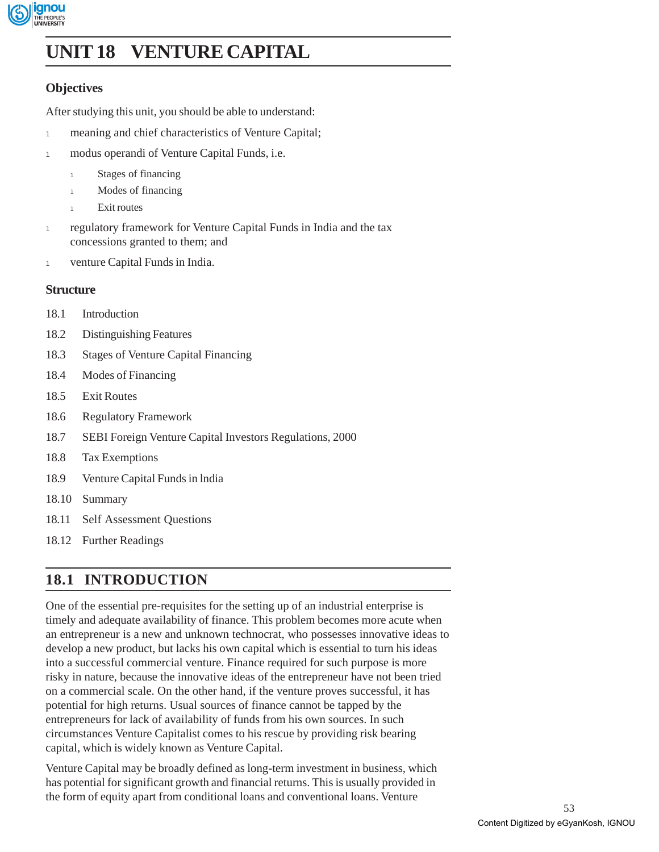

# **UNIT 18 VENTURE CAPITAL**

### **Objectives**

After studying this unit, you should be able to understand:

- 1 meaning and chief characteristics of Venture Capital;
- 1 modus operandi of Venture Capital Funds, i.e.
	- 1 Stages of financing
	- 1 Modes of financing
	- 1 Exit routes
- 1 regulatory framework for Venture Capital Funds in India and the tax concessions granted to them; and
- 1 venture Capital Funds in India.

### **Structure**

- 18.1 Introduction
- 18.2 Distinguishing Features
- 18.3 Stages of Venture Capital Financing
- 18.4 Modes of Financing
- 18.5 Exit Routes
- 18.6 Regulatory Framework
- 18.7 SEBI Foreign Venture Capital Investors Regulations, 2000
- 18.8 Tax Exemptions
- 18.9 Venture Capital Funds in lndia
- 18.10 Summary
- 18.11 Self Assessment Questions
- 18.12 Further Readings

# **18.1 INTRODUCTION**

One of the essential pre-requisites for the setting up of an industrial enterprise is timely and adequate availability of finance. This problem becomes more acute when an entrepreneur is a new and unknown technocrat, who possesses innovative ideas to develop a new product, but lacks his own capital which is essential to turn his ideas into a successful commercial venture. Finance required for such purpose is more risky in nature, because the innovative ideas of the entrepreneur have not been tried on a commercial scale. On the other hand, if the venture proves successful, it has potential for high returns. Usual sources of finance cannot be tapped by the entrepreneurs for lack of availability of funds from his own sources. In such circumstances Venture Capitalist comes to his rescue by providing risk bearing capital, which is widely known as Venture Capital.

Venture Capital may be broadly defined as long-term investment in business, which has potential for significant growth and financial returns. This is usually provided in the form of equity apart from conditional loans and conventional loans. Venture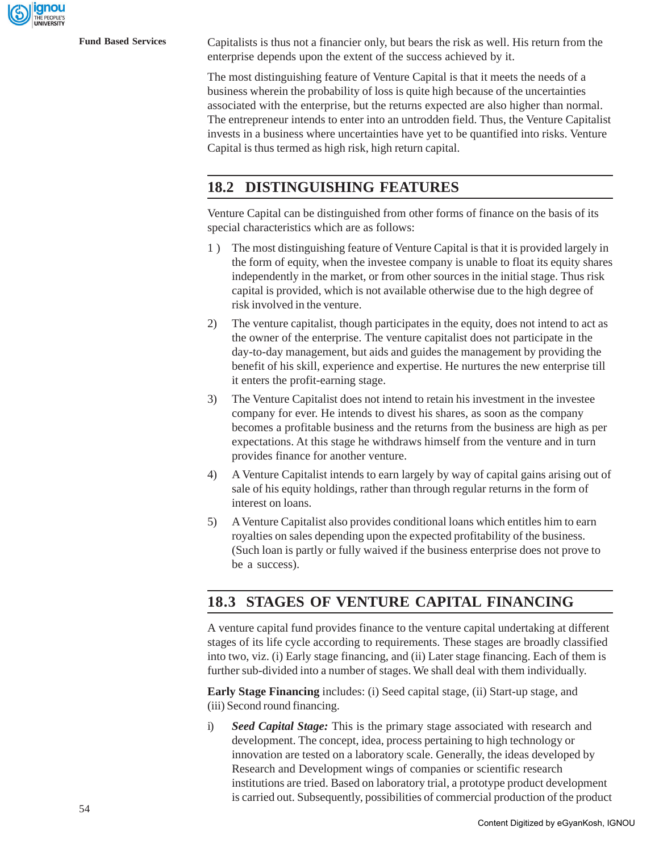ignou

**Fund Based Services** Capitalists is thus not a financier only, but bears the risk as well. His return from the enterprise depends upon the extent of the success achieved by it.

> The most distinguishing feature of Venture Capital is that it meets the needs of a business wherein the probability of loss is quite high because of the uncertainties associated with the enterprise, but the returns expected are also higher than normal. The entrepreneur intends to enter into an untrodden field. Thus, the Venture Capitalist invests in a business where uncertainties have yet to be quantified into risks. Venture Capital is thus termed as high risk, high return capital.

## **18.2 DISTINGUISHING FEATURES**

Venture Capital can be distinguished from other forms of finance on the basis of its special characteristics which are as follows:

- 1 ) The most distinguishing feature of Venture Capital is that it is provided largely in the form of equity, when the investee company is unable to float its equity shares independently in the market, or from other sources in the initial stage. Thus risk capital is provided, which is not available otherwise due to the high degree of risk involved in the venture.
- 2) The venture capitalist, though participates in the equity, does not intend to act as the owner of the enterprise. The venture capitalist does not participate in the day-to-day management, but aids and guides the management by providing the benefit of his skill, experience and expertise. He nurtures the new enterprise till it enters the profit-earning stage.
- 3) The Venture Capitalist does not intend to retain his investment in the investee company for ever. He intends to divest his shares, as soon as the company becomes a profitable business and the returns from the business are high as per expectations. At this stage he withdraws himself from the venture and in turn provides finance for another venture.
- 4) A Venture Capitalist intends to earn largely by way of capital gains arising out of sale of his equity holdings, rather than through regular returns in the form of interest on loans.
- 5) A Venture Capitalist also provides conditional loans which entitles him to earn royalties on sales depending upon the expected profitability of the business. (Such loan is partly or fully waived if the business enterprise does not prove to be a success).

# **18.3 STAGES OF VENTURE CAPITAL FINANCING**

A venture capital fund provides finance to the venture capital undertaking at different stages of its life cycle according to requirements. These stages are broadly classified into two, viz. (i) Early stage financing, and (ii) Later stage financing. Each of them is further sub-divided into a number of stages. We shall deal with them individually.

**Early Stage Financing** includes: (i) Seed capital stage, (ii) Start-up stage, and (iii) Second round financing.

i) *Seed Capital Stage:* This is the primary stage associated with research and development. The concept, idea, process pertaining to high technology or innovation are tested on a laboratory scale. Generally, the ideas developed by Research and Development wings of companies or scientific research institutions are tried. Based on laboratory trial, a prototype product development is carried out. Subsequently, possibilities of commercial production of the product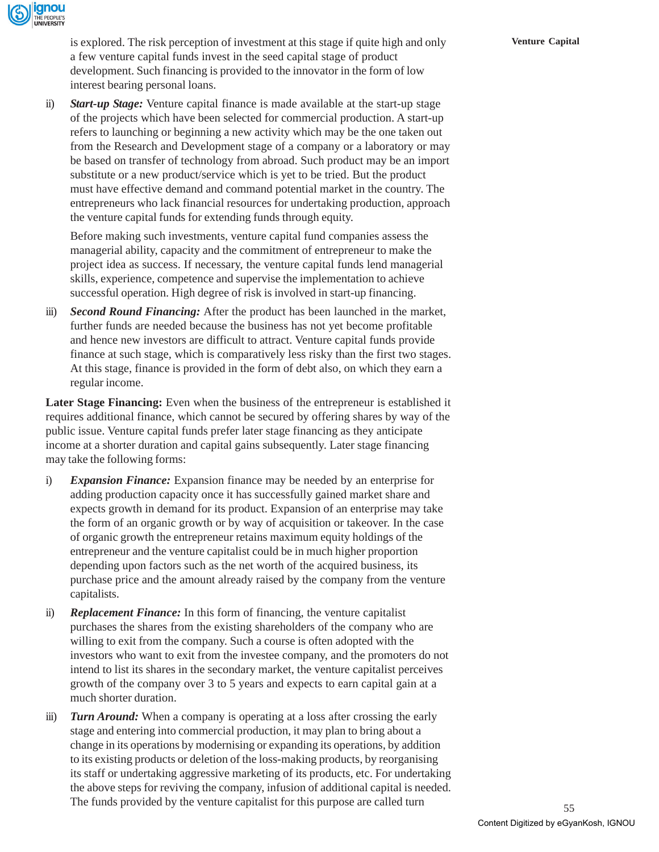is explored. The risk perception of investment at this stage if quite high and only **Venture Capital** a few venture capital funds invest in the seed capital stage of product development. Such financing is provided to the innovator in the form of low interest bearing personal loans.

ii) *Start-up Stage:* Venture capital finance is made available at the start-up stage of the projects which have been selected for commercial production. A start-up refers to launching or beginning a new activity which may be the one taken out from the Research and Development stage of a company or a laboratory or may be based on transfer of technology from abroad. Such product may be an import substitute or a new product/service which is yet to be tried. But the product must have effective demand and command potential market in the country. The entrepreneurs who lack financial resources for undertaking production, approach the venture capital funds for extending funds through equity.

Before making such investments, venture capital fund companies assess the managerial ability, capacity and the commitment of entrepreneur to make the project idea as success. If necessary, the venture capital funds lend managerial skills, experience, competence and supervise the implementation to achieve successful operation. High degree of risk is involved in start-up financing.

iii) *Second Round Financing:* After the product has been launched in the market, further funds are needed because the business has not yet become profitable and hence new investors are difficult to attract. Venture capital funds provide finance at such stage, which is comparatively less risky than the first two stages. At this stage, finance is provided in the form of debt also, on which they earn a regular income.

**Later Stage Financing:** Even when the business of the entrepreneur is established it requires additional finance, which cannot be secured by offering shares by way of the public issue. Venture capital funds prefer later stage financing as they anticipate income at a shorter duration and capital gains subsequently. Later stage financing may take the following forms:

- i) *Expansion Finance:* Expansion finance may be needed by an enterprise for adding production capacity once it has successfully gained market share and expects growth in demand for its product. Expansion of an enterprise may take the form of an organic growth or by way of acquisition or takeover. In the case of organic growth the entrepreneur retains maximum equity holdings of the entrepreneur and the venture capitalist could be in much higher proportion depending upon factors such as the net worth of the acquired business, its purchase price and the amount already raised by the company from the venture capitalists.
- ii) *Replacement Finance:* In this form of financing, the venture capitalist purchases the shares from the existing shareholders of the company who are willing to exit from the company. Such a course is often adopted with the investors who want to exit from the investee company, and the promoters do not intend to list its shares in the secondary market, the venture capitalist perceives growth of the company over 3 to 5 years and expects to earn capital gain at a much shorter duration.
- iii) *Turn Around:* When a company is operating at a loss after crossing the early stage and entering into commercial production, it may plan to bring about a change in its operations by modernising or expanding its operations, by addition to its existing products or deletion of the loss-making products, by reorganising its staff or undertaking aggressive marketing of its products, etc. For undertaking the above steps for reviving the company, infusion of additional capital is needed. The funds provided by the venture capitalist for this purpose are called turn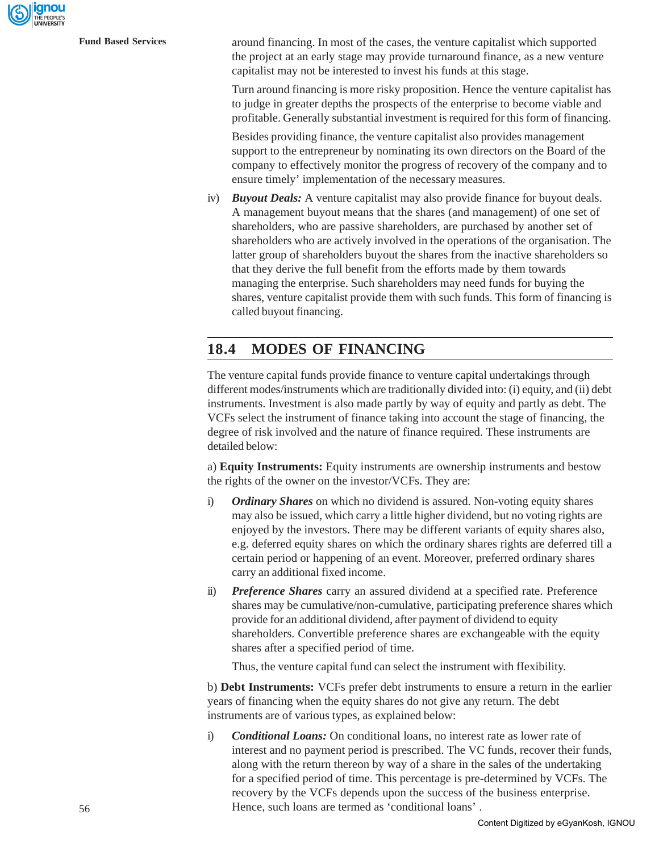ignou

**Fund Based Services** around financing. In most of the cases, the venture capitalist which supported the project at an early stage may provide turnaround finance, as a new venture capitalist may not be interested to invest his funds at this stage.

> Turn around financing is more risky proposition. Hence the venture capitalist has to judge in greater depths the prospects of the enterprise to become viable and profitable. Generally substantial investment is required for this form of financing.

Besides providing finance, the venture capitalist also provides management support to the entrepreneur by nominating its own directors on the Board of the company to effectively monitor the progress of recovery of the company and to ensure timely' implementation of the necessary measures.

iv) *Buyout Deals:* A venture capitalist may also provide finance for buyout deals. A management buyout means that the shares (and management) of one set of shareholders, who are passive shareholders, are purchased by another set of shareholders who are actively involved in the operations of the organisation. The latter group of shareholders buyout the shares from the inactive shareholders so that they derive the full benefit from the efforts made by them towards managing the enterprise. Such shareholders may need funds for buying the shares, venture capitalist provide them with such funds. This form of financing is called buyout financing.

### **18.4 MODES OF FINANCING**

The venture capital funds provide finance to venture capital undertakings through different modes/instruments which are traditionally divided into: (i) equity, and (ii) debt instruments. Investment is also made partly by way of equity and partly as debt. The VCFs select the instrument of finance taking into account the stage of financing, the degree of risk involved and the nature of finance required. These instruments are detailed below:

a) **Equity Instruments:** Equity instruments are ownership instruments and bestow the rights of the owner on the investor/VCFs. They are:

- i) *Ordinary Shares* on which no dividend is assured. Non-voting equity shares may also be issued, which carry a little higher dividend, but no voting rights are enjoyed by the investors. There may be different variants of equity shares also, e.g. deferred equity shares on which the ordinary shares rights are deferred till a certain period or happening of an event. Moreover, preferred ordinary shares carry an additional fixed income.
- ii) *Preference Shares* carry an assured dividend at a specified rate. Preference shares may be cumulative/non-cumulative, participating preference shares which provide for an additional dividend, after payment of dividend to equity shareholders. Convertible preference shares are exchangeable with the equity shares after a specified period of time.

Thus, the venture capital fund can select the instrument with fIexibility.

b) **Debt Instruments:** VCFs prefer debt instruments to ensure a return in the earlier years of financing when the equity shares do not give any return. The debt instruments are of various types, as explained below:

i) *Conditional Loans:* On conditional loans, no interest rate as lower rate of interest and no payment period is prescribed. The VC funds, recover their funds, along with the return thereon by way of a share in the sales of the undertaking for a specified period of time. This percentage is pre-determined by VCFs. The recovery by the VCFs depends upon the success of the business enterprise. Hence, such loans are termed as 'conditional loans' .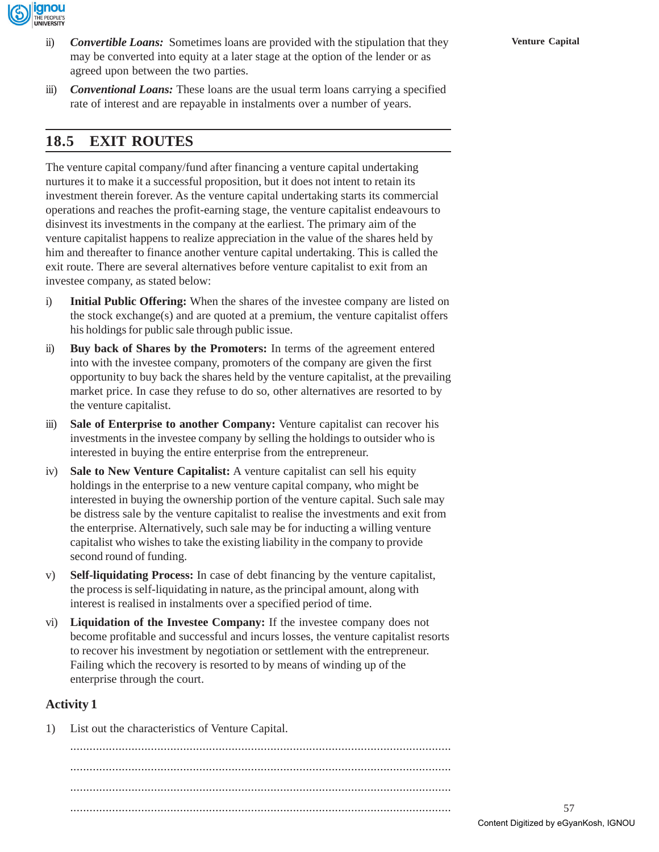

- ii) **Convertible Loans:** Sometimes loans are provided with the stipulation that they **Venture Capital** may be converted into equity at a later stage at the option of the lender or as agreed upon between the two parties.
- iii) *Conventional Loans:* These loans are the usual term loans carrying a specified rate of interest and are repayable in instalments over a number of years.

# **18.5 EXIT ROUTES**

The venture capital company/fund after financing a venture capital undertaking nurtures it to make it a successful proposition, but it does not intent to retain its investment therein forever. As the venture capital undertaking starts its commercial operations and reaches the profit-earning stage, the venture capitalist endeavours to disinvest its investments in the company at the earliest. The primary aim of the venture capitalist happens to realize appreciation in the value of the shares held by him and thereafter to finance another venture capital undertaking. This is called the exit route. There are several alternatives before venture capitalist to exit from an investee company, as stated below:

- i) **Initial Public Offering:** When the shares of the investee company are listed on the stock exchange(s) and are quoted at a premium, the venture capitalist offers his holdings for public sale through public issue.
- ii) **Buy back of Shares by the Promoters:** In terms of the agreement entered into with the investee company, promoters of the company are given the first opportunity to buy back the shares held by the venture capitalist, at the prevailing market price. In case they refuse to do so, other alternatives are resorted to by the venture capitalist.
- iii) **Sale of Enterprise to another Company:** Venture capitalist can recover his investments in the investee company by selling the holdings to outsider who is interested in buying the entire enterprise from the entrepreneur.
- iv) **Sale to New Venture Capitalist:** A venture capitalist can sell his equity holdings in the enterprise to a new venture capital company, who might be interested in buying the ownership portion of the venture capital. Such sale may be distress sale by the venture capitalist to realise the investments and exit from the enterprise. Alternatively, such sale may be for inducting a willing venture capitalist who wishes to take the existing liability in the company to provide second round of funding.
- v) **Self-liquidating Process:** In case of debt financing by the venture capitalist, the process is self-liquidating in nature, as the principal amount, along with interest is realised in instalments over a specified period of time.
- vi) **Liquidation of the Investee Company:** If the investee company does not become profitable and successful and incurs losses, the venture capitalist resorts to recover his investment by negotiation or settlement with the entrepreneur. Failing which the recovery is resorted to by means of winding up of the enterprise through the court.

### **Activity 1**

1) List out the characteristics of Venture Capital.

...................................................................................................................... ...................................................................................................................... ...................................................................................................................... ......................................................................................................................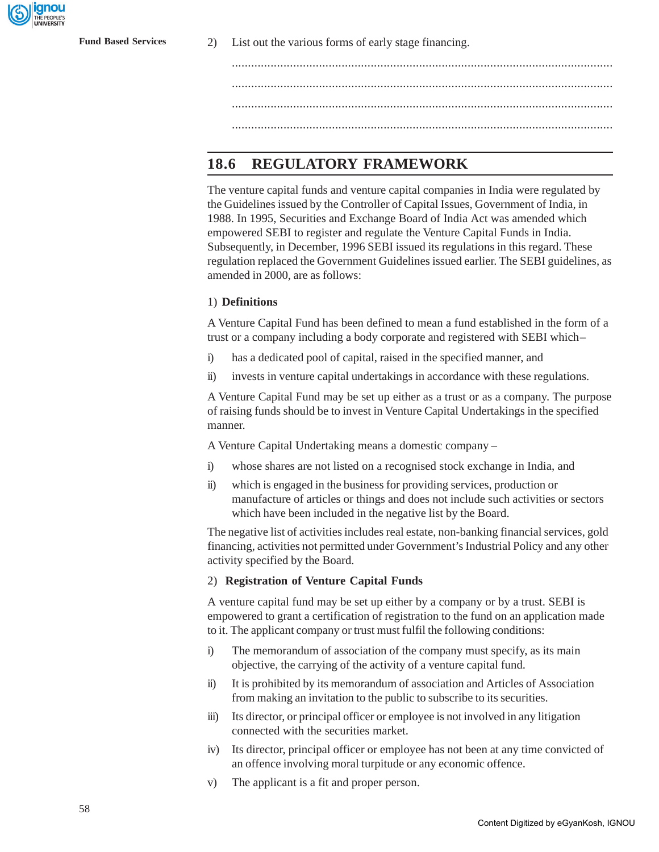anou

**Fund Based Services** 2) List out the various forms of early stage financing.

...................................................................................................................... ...................................................................................................................... ......................................................................................................................

# **18.6 REGULATORY FRAMEWORK**

The venture capital funds and venture capital companies in India were regulated by the Guidelines issued by the Controller of Capital Issues, Government of India, in 1988. In 1995, Securities and Exchange Board of India Act was amended which empowered SEBI to register and regulate the Venture Capital Funds in India. Subsequently, in December, 1996 SEBI issued its regulations in this regard. These regulation replaced the Government Guidelines issued earlier. The SEBI guidelines, as amended in 2000, are as follows:

#### 1) **Definitions**

A Venture Capital Fund has been defined to mean a fund established in the form of a trust or a company including a body corporate and registered with SEBI which –

- i) has a dedicated pool of capital, raised in the specified manner, and
- ii) invests in venture capital undertakings in accordance with these regulations.

A Venture Capital Fund may be set up either as a trust or as a company. The purpose of raising funds should be to invest in Venture Capital Undertakings in the specified manner.

A Venture Capital Undertaking means a domestic company –

- i) whose shares are not listed on a recognised stock exchange in India, and
- ii) which is engaged in the business for providing services, production or manufacture of articles or things and does not include such activities or sectors which have been included in the negative list by the Board.

The negative list of activities includes real estate, non-banking financial services, gold financing, activities not permitted under Government's Industrial Policy and any other activity specified by the Board.

#### 2) **Registration of Venture Capital Funds**

A venture capital fund may be set up either by a company or by a trust. SEBI is empowered to grant a certification of registration to the fund on an application made to it. The applicant company or trust must fulfil the following conditions:

- i) The memorandum of association of the company must specify, as its main objective, the carrying of the activity of a venture capital fund.
- ii) It is prohibited by its memorandum of association and Articles of Association from making an invitation to the public to subscribe to its securities.
- iii) Its director, or principal officer or employee is not involved in any litigation connected with the securities market.
- iv) Its director, principal officer or employee has not been at any time convicted of an offence involving moral turpitude or any economic offence.
- v) The applicant is a fit and proper person.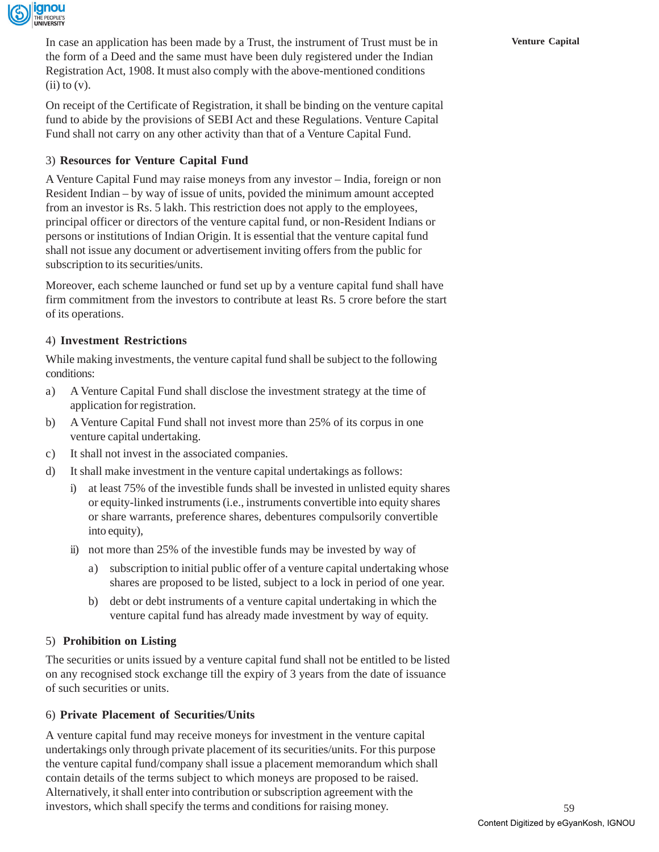

In case an application has been made by a Trust, the instrument of Trust must be in **Venture Capital** the form of a Deed and the same must have been duly registered under the Indian Registration Act, 1908. It must also comply with the above-mentioned conditions  $(ii)$  to  $(v)$ .

On receipt of the Certificate of Registration, it shall be binding on the venture capital fund to abide by the provisions of SEBI Act and these Regulations. Venture Capital Fund shall not carry on any other activity than that of a Venture Capital Fund.

### 3) **Resources for Venture Capital Fund**

A Venture Capital Fund may raise moneys from any investor – India, foreign or non Resident Indian – by way of issue of units, povided the minimum amount accepted from an investor is Rs. 5 lakh. This restriction does not apply to the employees, principal officer or directors of the venture capital fund, or non-Resident Indians or persons or institutions of Indian Origin. It is essential that the venture capital fund shall not issue any document or advertisement inviting offers from the public for subscription to its securities/units.

Moreover, each scheme launched or fund set up by a venture capital fund shall have firm commitment from the investors to contribute at least Rs. 5 crore before the start of its operations.

### 4) **Investment Restrictions**

While making investments, the venture capital fund shall be subject to the following conditions:

- a) A Venture Capital Fund shall disclose the investment strategy at the time of application for registration.
- b) A Venture Capital Fund shall not invest more than 25% of its corpus in one venture capital undertaking.
- c) It shall not invest in the associated companies.
- d) It shall make investment in the venture capital undertakings as follows:
	- i) at least 75% of the investible funds shall be invested in unlisted equity shares or equity-linked instruments (i.e., instruments convertible into equity shares or share warrants, preference shares, debentures compulsorily convertible into equity),
	- ii) not more than 25% of the investible funds may be invested by way of
		- a) subscription to initial public offer of a venture capital undertaking whose shares are proposed to be listed, subject to a lock in period of one year.
		- b) debt or debt instruments of a venture capital undertaking in which the venture capital fund has already made investment by way of equity.

### 5) **Prohibition on Listing**

The securities or units issued by a venture capital fund shall not be entitled to be listed on any recognised stock exchange till the expiry of 3 years from the date of issuance of such securities or units.

#### 6) **Private Placement of Securities/Units**

A venture capital fund may receive moneys for investment in the venture capital undertakings only through private placement of its securities/units. For this purpose the venture capital fund/company shall issue a placement memorandum which shall contain details of the terms subject to which moneys are proposed to be raised. Alternatively, it shall enter into contribution or subscription agreement with the investors, which shall specify the terms and conditions for raising money.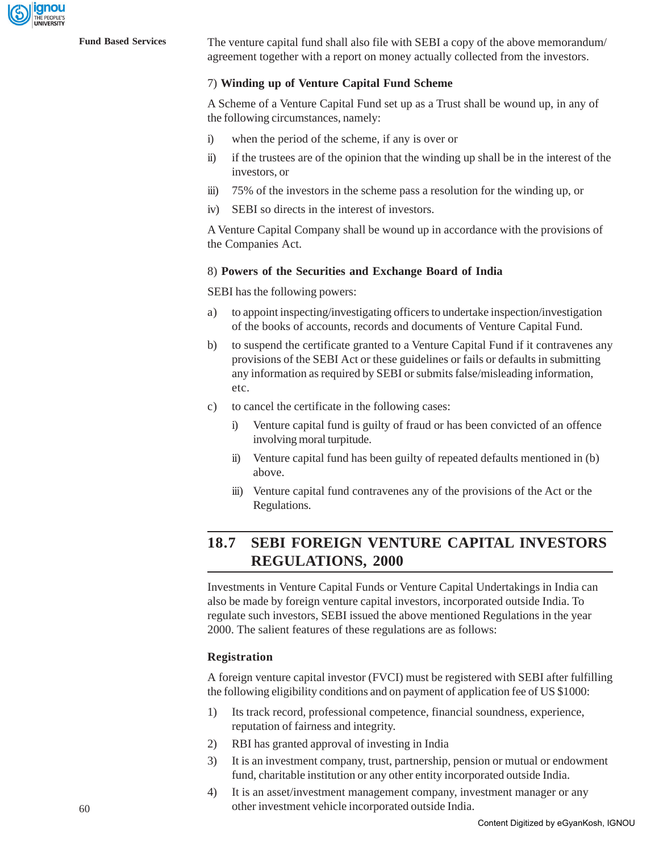

**Fund Based Services** The venture capital fund shall also file with SEBI a copy of the above memorandum/ agreement together with a report on money actually collected from the investors.

#### 7) **Winding up of Venture Capital Fund Scheme**

A Scheme of a Venture Capital Fund set up as a Trust shall be wound up, in any of the following circumstances, namely:

- i) when the period of the scheme, if any is over or
- ii) if the trustees are of the opinion that the winding up shall be in the interest of the investors, or
- iii) 75% of the investors in the scheme pass a resolution for the winding up, or
- iv) SEBI so directs in the interest of investors.

A Venture Capital Company shall be wound up in accordance with the provisions of the Companies Act.

#### 8) **Powers of the Securities and Exchange Board of India**

SEBI has the following powers:

- a) to appoint inspecting/investigating officers to undertake inspection/investigation of the books of accounts, records and documents of Venture Capital Fund.
- b) to suspend the certificate granted to a Venture Capital Fund if it contravenes any provisions of the SEBI Act or these guidelines or fails or defaults in submitting any information as required by SEBI or submits false/misleading information, etc.
- c) to cancel the certificate in the following cases:
	- Venture capital fund is guilty of fraud or has been convicted of an offence involving moral turpitude.
	- ii) Venture capital fund has been guilty of repeated defaults mentioned in (b) above.
	- iii) Venture capital fund contravenes any of the provisions of the Act or the Regulations.

# **18.7 SEBI FOREIGN VENTURE CAPITAL INVESTORS REGULATIONS, 2000**

Investments in Venture Capital Funds or Venture Capital Undertakings in India can also be made by foreign venture capital investors, incorporated outside India. To regulate such investors, SEBI issued the above mentioned Regulations in the year 2000. The salient features of these regulations are as follows:

#### **Registration**

A foreign venture capital investor (FVCI) must be registered with SEBI after fulfilling the following eligibility conditions and on payment of application fee of US \$1000:

- 1) Its track record, professional competence, financial soundness, experience, reputation of fairness and integrity.
- 2) RBI has granted approval of investing in India
- 3) It is an investment company, trust, partnership, pension or mutual or endowment fund, charitable institution or any other entity incorporated outside India.
- 4) It is an asset/investment management company, investment manager or any other investment vehicle incorporated outside India.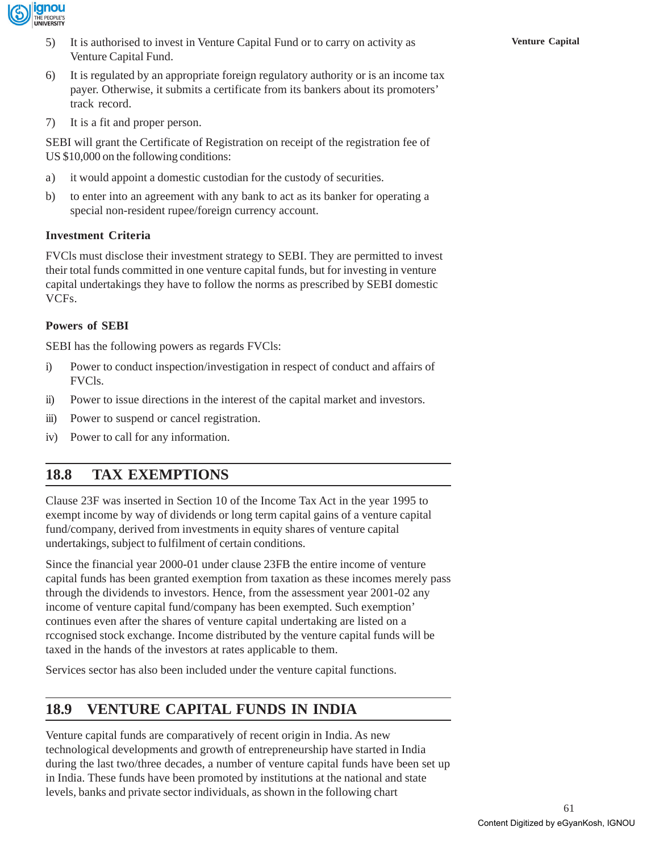

- 5) It is authorised to invest in Venture Capital Fund or to carry on activity as **Venture Capital** Venture Capital Fund.
- 6) It is regulated by an appropriate foreign regulatory authority or is an income tax payer. Otherwise, it submits a certificate from its bankers about its promoters' track record.
- 7) It is a fit and proper person.

SEBI will grant the Certificate of Registration on receipt of the registration fee of US \$10,000 on the following conditions:

- a) it would appoint a domestic custodian for the custody of securities.
- b) to enter into an agreement with any bank to act as its banker for operating a special non-resident rupee/foreign currency account.

### **Investment Criteria**

FVCls must disclose their investment strategy to SEBI. They are permitted to invest their total funds committed in one venture capital funds, but for investing in venture capital undertakings they have to follow the norms as prescribed by SEBI domestic VCFs.

### **Powers of SEBI**

SEBI has the following powers as regards FVCls:

- i) Power to conduct inspection/investigation in respect of conduct and affairs of FVCls.
- ii) Power to issue directions in the interest of the capital market and investors.
- iii) Power to suspend or cancel registration.
- iv) Power to call for any information.

# **18.8 TAX EXEMPTIONS**

Clause 23F was inserted in Section 10 of the Income Tax Act in the year 1995 to exempt income by way of dividends or long term capital gains of a venture capital fund/company, derived from investments in equity shares of venture capital undertakings, subject to fulfilment of certain conditions.

Since the financial year 2000-01 under clause 23FB the entire income of venture capital funds has been granted exemption from taxation as these incomes merely pass through the dividends to investors. Hence, from the assessment year 2001-02 any income of venture capital fund/company has been exempted. Such exemption' continues even after the shares of venture capital undertaking are listed on a rccognised stock exchange. Income distributed by the venture capital funds will be taxed in the hands of the investors at rates applicable to them.

Services sector has also been included under the venture capital functions.

# **18.9 VENTURE CAPITAL FUNDS IN INDIA**

Venture capital funds are comparatively of recent origin in India. As new technological developments and growth of entrepreneurship have started in India during the last two/three decades, a number of venture capital funds have been set up in India. These funds have been promoted by institutions at the national and state levels, banks and private sector individuals, as shown in the following chart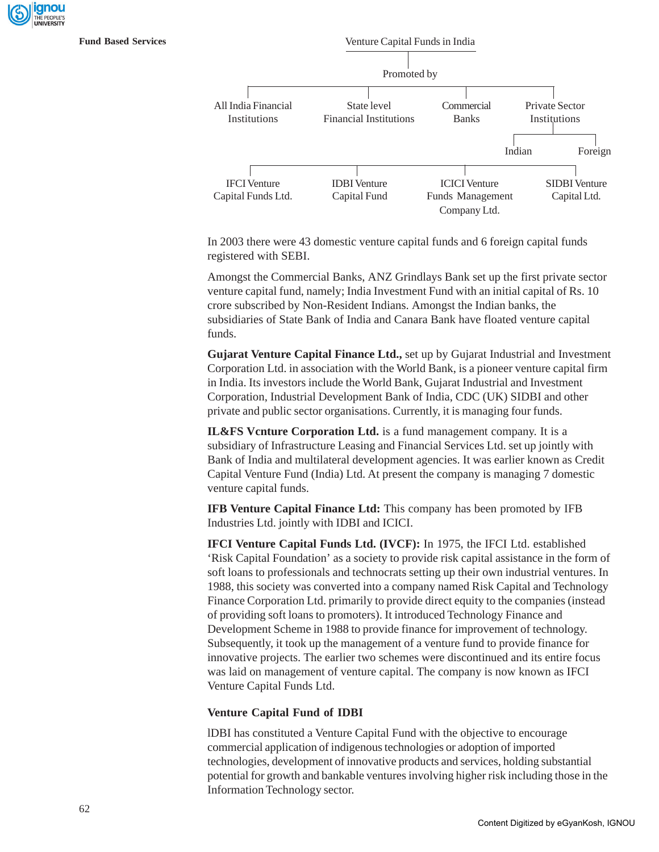



In 2003 there were 43 domestic venture capital funds and 6 foreign capital funds registered with SEBI.

Amongst the Commercial Banks, ANZ Grindlays Bank set up the first private sector venture capital fund, namely; India Investment Fund with an initial capital of Rs. 10 crore subscribed by Non-Resident Indians. Amongst the Indian banks, the subsidiaries of State Bank of India and Canara Bank have floated venture capital funds.

**Gujarat Venture Capital Finance Ltd.,** set up by Gujarat Industrial and Investment Corporation Ltd. in association with the World Bank, is a pioneer venture capital firm in India. Its investors include the World Bank, Gujarat Industrial and Investment Corporation, Industrial Development Bank of India, CDC (UK) SIDBI and other private and public sector organisations. Currently, it is managing four funds.

**IL&FS Vcnture Corporation Ltd.** is a fund management company. It is a subsidiary of Infrastructure Leasing and Financial Services Ltd. set up jointly with Bank of India and multilateral development agencies. It was earlier known as Credit Capital Venture Fund (India) Ltd. At present the company is managing 7 domestic venture capital funds.

**IFB Venture Capital Finance Ltd:** This company has been promoted by IFB Industries Ltd. jointly with IDBI and ICICI.

**IFCI Venture Capital Funds Ltd. (IVCF):** In 1975, the IFCI Ltd. established 'Risk Capital Foundation' as a society to provide risk capital assistance in the form of soft loans to professionals and technocrats setting up their own industrial ventures. In 1988, this society was converted into a company named Risk Capital and Technology Finance Corporation Ltd. primarily to provide direct equity to the companies (instead of providing soft loans to promoters). It introduced Technology Finance and Development Scheme in 1988 to provide finance for improvement of technology. Subsequently, it took up the management of a venture fund to provide finance for innovative projects. The earlier two schemes were discontinued and its entire focus was laid on management of venture capital. The company is now known as IFCI Venture Capital Funds Ltd.

#### **Venture Capital Fund of IDBI**

lDBI has constituted a Venture Capital Fund with the objective to encourage commercial application of indigenous technologies or adoption of imported technologies, development of innovative products and services, holding substantial potential for growth and bankable ventures involving higher risk including those in the Information Technology sector.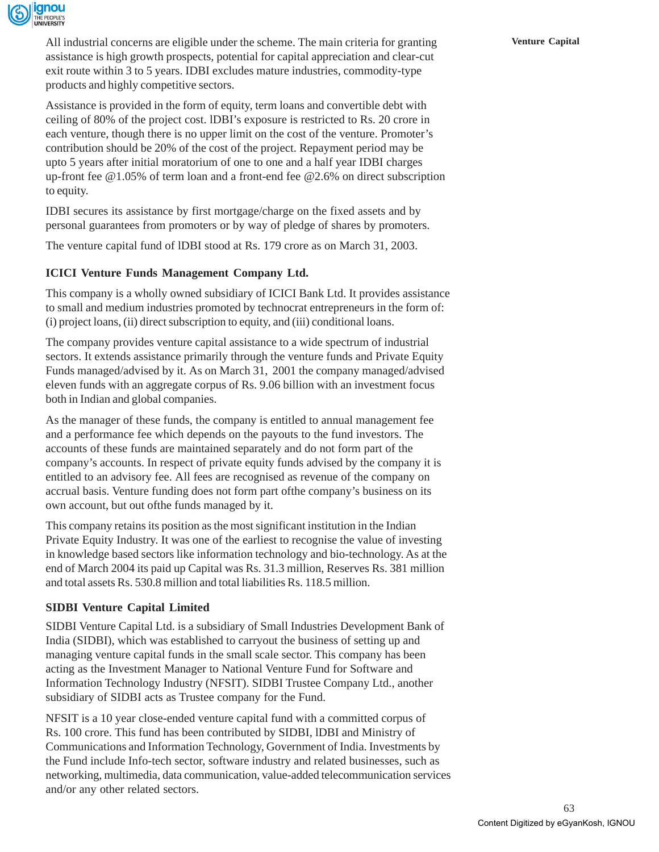

All industrial concerns are eligible under the scheme. The main criteria for granting **Venture Capital** assistance is high growth prospects, potential for capital appreciation and clear-cut exit route within 3 to 5 years. IDBI excludes mature industries, commodity-type products and highly competitive sectors.

Assistance is provided in the form of equity, term loans and convertible debt with ceiling of 80% of the project cost. lDBI's exposure is restricted to Rs. 20 crore in each venture, though there is no upper limit on the cost of the venture. Promoter's contribution should be 20% of the cost of the project. Repayment period may be upto 5 years after initial moratorium of one to one and a half year IDBI charges up-front fee @1.05% of term loan and a front-end fee @2.6% on direct subscription to equity.

IDBI secures its assistance by first mortgage/charge on the fixed assets and by personal guarantees from promoters or by way of pledge of shares by promoters.

The venture capital fund of lDBI stood at Rs. 179 crore as on March 31, 2003.

### **ICICI Venture Funds Management Company Ltd.**

This company is a wholly owned subsidiary of ICICI Bank Ltd. It provides assistance to small and medium industries promoted by technocrat entrepreneurs in the form of: (i) project loans, (ii) direct subscription to equity, and (iii) conditional loans.

The company provides venture capital assistance to a wide spectrum of industrial sectors. It extends assistance primarily through the venture funds and Private Equity Funds managed/advised by it. As on March 31, 2001 the company managed/advised eleven funds with an aggregate corpus of Rs. 9.06 billion with an investment focus both in Indian and global companies.

As the manager of these funds, the company is entitled to annual management fee and a performance fee which depends on the payouts to the fund investors. The accounts of these funds are maintained separately and do not form part of the company's accounts. In respect of private equity funds advised by the company it is entitled to an advisory fee. All fees are recognised as revenue of the company on accrual basis. Venture funding does not form part ofthe company's business on its own account, but out ofthe funds managed by it.

This company retains its position as the most significant institution in the Indian Private Equity Industry. It was one of the earliest to recognise the value of investing in knowledge based sectors like information technology and bio-technology. As at the end of March 2004 its paid up Capital was Rs. 31.3 million, Reserves Rs. 381 million and total assets Rs. 530.8 million and total liabilities Rs. 118.5 million.

### **SIDBI Venture Capital Limited**

SIDBI Venture Capital Ltd. is a subsidiary of Small Industries Development Bank of India (SIDBI), which was established to carryout the business of setting up and managing venture capital funds in the small scale sector. This company has been acting as the Investment Manager to National Venture Fund for Software and Information Technology Industry (NFSIT). SIDBI Trustee Company Ltd., another subsidiary of SIDBI acts as Trustee company for the Fund.

NFSIT is a 10 year close-ended venture capital fund with a committed corpus of Rs. 100 crore. This fund has been contributed by SIDBI, lDBI and Ministry of Communications and Information Technology, Government of India. Investments by the Fund include Info-tech sector, software industry and related businesses, such as networking, multimedia, data communication, value-added telecommunication services and/or any other related sectors.